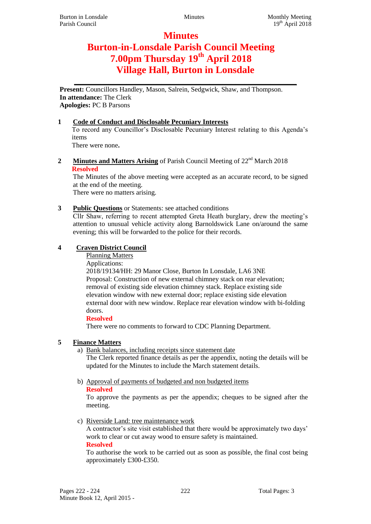# **Minutes Burton-in-Lonsdale Parish Council Meeting 7.00pm Thursday 19th April 2018 Village Hall, Burton in Lonsdale**

**\_\_\_\_\_\_\_\_\_\_\_\_\_\_\_\_\_\_\_\_\_\_\_\_\_\_\_\_\_\_\_\_\_\_\_\_\_\_\_\_\_\_\_\_\_\_\_\_\_\_\_**

**Present:** Councillors Handley, Mason, Salrein, Sedgwick, Shaw, and Thompson. **In attendance:** The Clerk **Apologies:** PC B Parsons

## **1 Code of Conduct and Disclosable Pecuniary Interests**

To record any Councillor's Disclosable Pecuniary Interest relating to this Agenda's items

There were none**.**

**2 Minutes and Matters Arising** of Parish Council Meeting of 22<sup>nd</sup> March 2018 **Resolved**

The Minutes of the above meeting were accepted as an accurate record, to be signed at the end of the meeting.

There were no matters arising.

## **3 Public Questions** or Statements: see attached conditions

Cllr Shaw, referring to recent attempted Greta Heath burglary, drew the meeting's attention to unusual vehicle activity along Barnoldswick Lane on/around the same evening; this will be forwarded to the police for their records.

## **4 Craven District Council**

Planning Matters

Applications:

2018/19134/HH: 29 Manor Close, Burton In Lonsdale, LA6 3NE Proposal: Construction of new external chimney stack on rear elevation; removal of existing side elevation chimney stack. Replace existing side elevation window with new external door; replace existing side elevation external door with new window. Replace rear elevation window with bi-folding doors.

#### **Resolved**

There were no comments to forward to CDC Planning Department.

### **5 Finance Matters**

a) Bank balances, including receipts since statement date

The Clerk reported finance details as per the appendix, noting the details will be updated for the Minutes to include the March statement details.

b) Approval of payments of budgeted and non budgeted items **Resolved**

To approve the payments as per the appendix; cheques to be signed after the meeting.

c) Riverside Land: tree maintenance work

A contractor's site visit established that there would be approximately two days' work to clear or cut away wood to ensure safety is maintained. **Resolved**

To authorise the work to be carried out as soon as possible, the final cost being approximately £300-£350.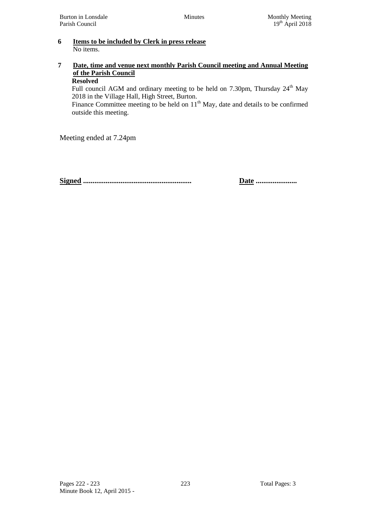#### **6 Items to be included by Clerk in press release** No items.

#### **7 Date, time and venue next monthly Parish Council meeting and Annual Meeting of the Parish Council Resolved**

Full council AGM and ordinary meeting to be held on 7.30pm, Thursday 24<sup>th</sup> May 2018 in the Village Hall, High Street, Burton.

Finance Committee meeting to be held on  $11<sup>th</sup>$  May, date and details to be confirmed outside this meeting.

Meeting ended at 7.24pm

**Signed .......................................................... Date ......................**